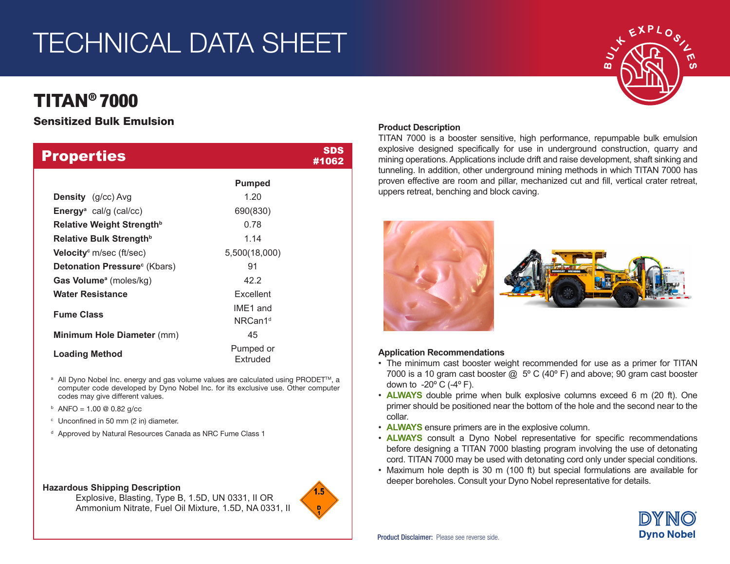# TECHNICAL DATA SHEET

# TITAN® 7000

## Sensitized Bulk Emulsion

| <b>Properties</b>                           |                       | SDS<br>#1062 |
|---------------------------------------------|-----------------------|--------------|
|                                             | <b>Pumped</b>         |              |
| <b>Density</b> (g/cc) Avg                   | 1.20                  |              |
| Energy <sup>a</sup> cal/g (cal/cc)          | 690(830)              |              |
| Relative Weight Strength <sup>b</sup>       | 0.78                  |              |
| Relative Bulk Strength <sup>b</sup>         | 1.14                  |              |
| <b>Velocity</b> <sup>c</sup> m/sec (ft/sec) | 5,500(18,000)         |              |
| Detonation Pressure <sup>c</sup> (Kbars)    | 91                    |              |
| <b>Gas Volume</b> <sup>a</sup> (moles/kg)   | 42.2                  |              |
| <b>Water Resistance</b>                     | Excellent             |              |
| <b>Fume Class</b>                           | IME1 and              |              |
|                                             | NRCan1 <sup>d</sup>   |              |
| <b>Minimum Hole Diameter (mm)</b>           | 45                    |              |
| <b>Loading Method</b>                       | Pumped or<br>Extruded |              |

- <sup>a</sup> All Dyno Nobel Inc. energy and gas volume values are calculated using PRODET<sup>™</sup>, a computer code developed by Dyno Nobel Inc. for its exclusive use. Other computer codes may give different values.
- $b$  ANFO = 1.00 @ 0.82 g/cc
- <sup>c</sup> Unconfined in 50 mm (2 in) diameter.
- <sup>d</sup> Approved by Natural Resources Canada as NRC Fume Class 1

#### **Hazardous Shipping Description**

Explosive, Blasting, Type B, 1.5D, UN 0331, II OR Ammonium Nitrate, Fuel Oil Mixture, 1.5D, NA 0331, II



### **Product Description**

TITAN 7000 is a booster sensitive, high performance, repumpable bulk emulsion explosive designed specifically for use in underground construction, quarry and mining operations. Applications include drift and raise development, shaft sinking and tunneling. In addition, other underground mining methods in which TITAN 7000 has proven effective are room and pillar, mechanized cut and fill, vertical crater retreat, uppers retreat, benching and block caving.



#### **Application Recommendations**

- The minimum cast booster weight recommended for use as a primer for TITAN 7000 is a 10 gram cast booster  $\omega$ , 5° C (40° F) and above; 90 gram cast booster down to  $-20^{\circ}$  C ( $-4^{\circ}$  F).
- **ALWAYS** double prime when bulk explosive columns exceed 6 m (20 ft). One primer should be positioned near the bottom of the hole and the second near to the collar.
- **ALWAYS** ensure primers are in the explosive column.
- **ALWAYS** consult a Dyno Nobel representative for specific recommendations before designing a TITAN 7000 blasting program involving the use of detonating cord. TITAN 7000 may be used with detonating cord only under special conditions.
- Maximum hole depth is 30 m (100 ft) but special formulations are available for deeper boreholes. Consult your Dyno Nobel representative for details.